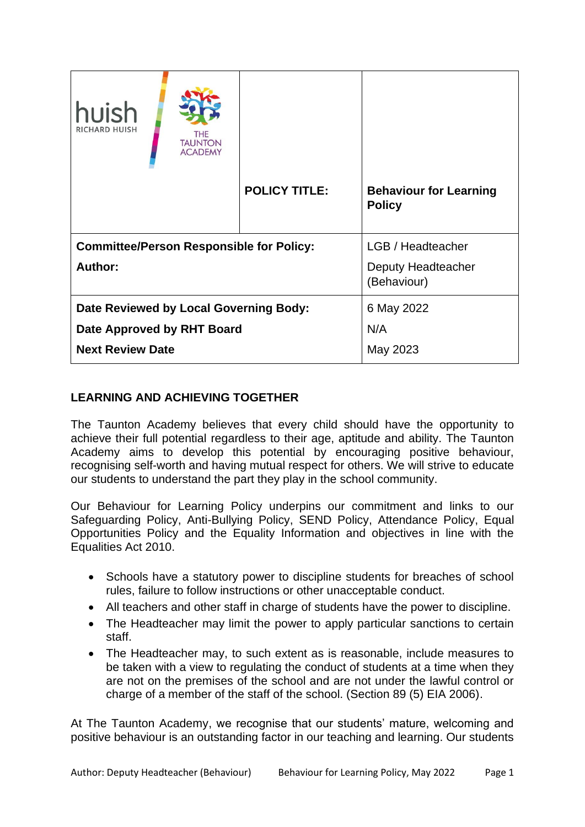| huish<br><b>RICHARD HUISH</b>                              | THE<br><b>TAUNTON</b><br><b>ACADEMY</b> |                      |                                                |
|------------------------------------------------------------|-----------------------------------------|----------------------|------------------------------------------------|
|                                                            |                                         | <b>POLICY TITLE:</b> | <b>Behaviour for Learning</b><br><b>Policy</b> |
| <b>Committee/Person Responsible for Policy:</b><br>Author: |                                         |                      | LGB / Headteacher<br>Deputy Headteacher        |
| Date Reviewed by Local Governing Body:                     |                                         |                      | (Behaviour)<br>6 May 2022                      |
| Date Approved by RHT Board                                 |                                         |                      | N/A                                            |
| <b>Next Review Date</b>                                    |                                         |                      | May 2023                                       |

# **LEARNING AND ACHIEVING TOGETHER**

The Taunton Academy believes that every child should have the opportunity to achieve their full potential regardless to their age, aptitude and ability. The Taunton Academy aims to develop this potential by encouraging positive behaviour, recognising self-worth and having mutual respect for others. We will strive to educate our students to understand the part they play in the school community.

Our Behaviour for Learning Policy underpins our commitment and links to our Safeguarding Policy, Anti-Bullying Policy, SEND Policy, Attendance Policy, Equal Opportunities Policy and the Equality Information and objectives in line with the Equalities Act 2010.

- Schools have a statutory power to discipline students for breaches of school rules, failure to follow instructions or other unacceptable conduct.
- All teachers and other staff in charge of students have the power to discipline.
- The Headteacher may limit the power to apply particular sanctions to certain staff.
- The Headteacher may, to such extent as is reasonable, include measures to be taken with a view to regulating the conduct of students at a time when they are not on the premises of the school and are not under the lawful control or charge of a member of the staff of the school. (Section 89 (5) EIA 2006).

At The Taunton Academy, we recognise that our students' mature, welcoming and positive behaviour is an outstanding factor in our teaching and learning. Our students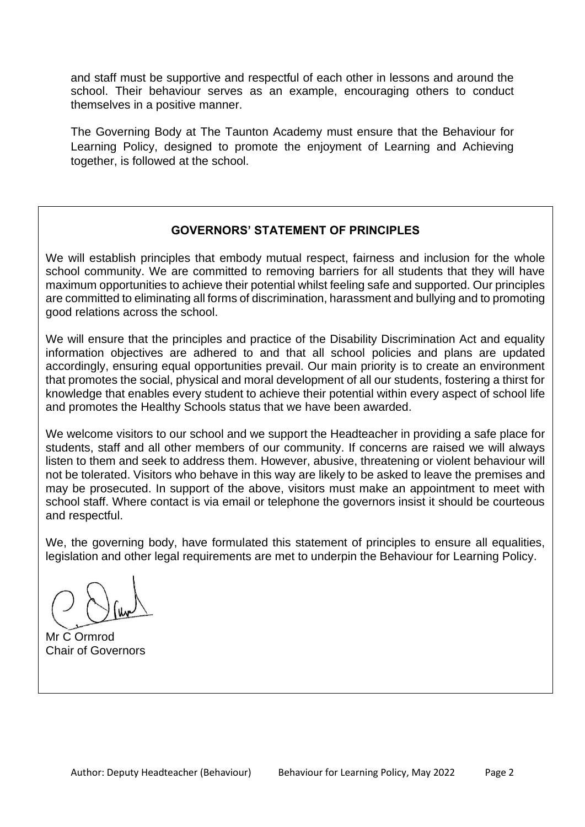and staff must be supportive and respectful of each other in lessons and around the school. Their behaviour serves as an example, encouraging others to conduct themselves in a positive manner.

The Governing Body at The Taunton Academy must ensure that the Behaviour for Learning Policy, designed to promote the enjoyment of Learning and Achieving together, is followed at the school.

## **GOVERNORS' STATEMENT OF PRINCIPLES**

We will establish principles that embody mutual respect, fairness and inclusion for the whole school community. We are committed to removing barriers for all students that they will have maximum opportunities to achieve their potential whilst feeling safe and supported. Our principles are committed to eliminating all forms of discrimination, harassment and bullying and to promoting good relations across the school.

We will ensure that the principles and practice of the Disability Discrimination Act and equality information objectives are adhered to and that all school policies and plans are updated accordingly, ensuring equal opportunities prevail. Our main priority is to create an environment that promotes the social, physical and moral development of all our students, fostering a thirst for knowledge that enables every student to achieve their potential within every aspect of school life and promotes the Healthy Schools status that we have been awarded.

We welcome visitors to our school and we support the Headteacher in providing a safe place for students, staff and all other members of our community. If concerns are raised we will always listen to them and seek to address them. However, abusive, threatening or violent behaviour will not be tolerated. Visitors who behave in this way are likely to be asked to leave the premises and may be prosecuted. In support of the above, visitors must make an appointment to meet with school staff. Where contact is via email or telephone the governors insist it should be courteous and respectful.

We, the governing body, have formulated this statement of principles to ensure all equalities, legislation and other legal requirements are met to underpin the Behaviour for Learning Policy.

Mr C Ormrod Chair of Governors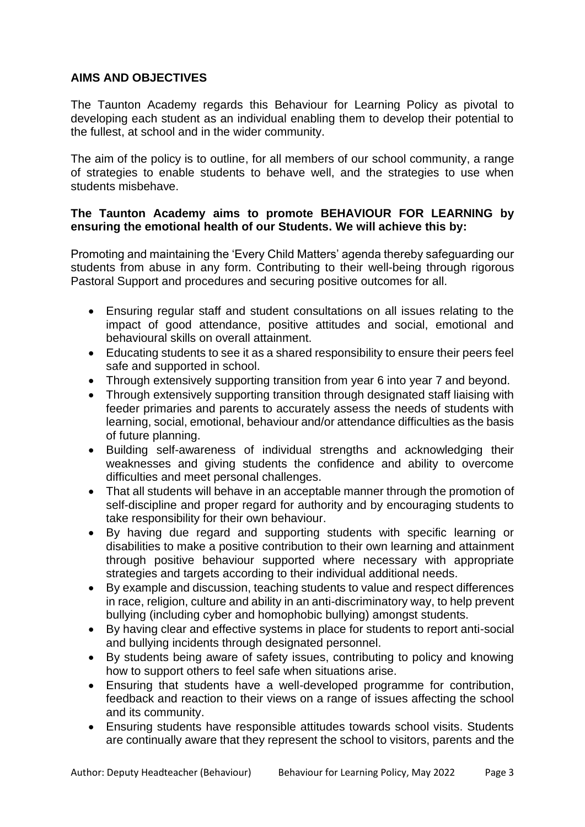### **AIMS AND OBJECTIVES**

The Taunton Academy regards this Behaviour for Learning Policy as pivotal to developing each student as an individual enabling them to develop their potential to the fullest, at school and in the wider community.

The aim of the policy is to outline, for all members of our school community, a range of strategies to enable students to behave well, and the strategies to use when students misbehave.

### **The Taunton Academy aims to promote BEHAVIOUR FOR LEARNING by ensuring the emotional health of our Students. We will achieve this by:**

Promoting and maintaining the 'Every Child Matters' agenda thereby safeguarding our students from abuse in any form. Contributing to their well-being through rigorous Pastoral Support and procedures and securing positive outcomes for all.

- Ensuring regular staff and student consultations on all issues relating to the impact of good attendance, positive attitudes and social, emotional and behavioural skills on overall attainment.
- Educating students to see it as a shared responsibility to ensure their peers feel safe and supported in school.
- Through extensively supporting transition from year 6 into year 7 and beyond.
- Through extensively supporting transition through designated staff liaising with feeder primaries and parents to accurately assess the needs of students with learning, social, emotional, behaviour and/or attendance difficulties as the basis of future planning.
- Building self-awareness of individual strengths and acknowledging their weaknesses and giving students the confidence and ability to overcome difficulties and meet personal challenges.
- That all students will behave in an acceptable manner through the promotion of self-discipline and proper regard for authority and by encouraging students to take responsibility for their own behaviour.
- By having due regard and supporting students with specific learning or disabilities to make a positive contribution to their own learning and attainment through positive behaviour supported where necessary with appropriate strategies and targets according to their individual additional needs.
- By example and discussion, teaching students to value and respect differences in race, religion, culture and ability in an anti-discriminatory way, to help prevent bullying (including cyber and homophobic bullying) amongst students.
- By having clear and effective systems in place for students to report anti-social and bullying incidents through designated personnel.
- By students being aware of safety issues, contributing to policy and knowing how to support others to feel safe when situations arise.
- Ensuring that students have a well-developed programme for contribution, feedback and reaction to their views on a range of issues affecting the school and its community.
- Ensuring students have responsible attitudes towards school visits. Students are continually aware that they represent the school to visitors, parents and the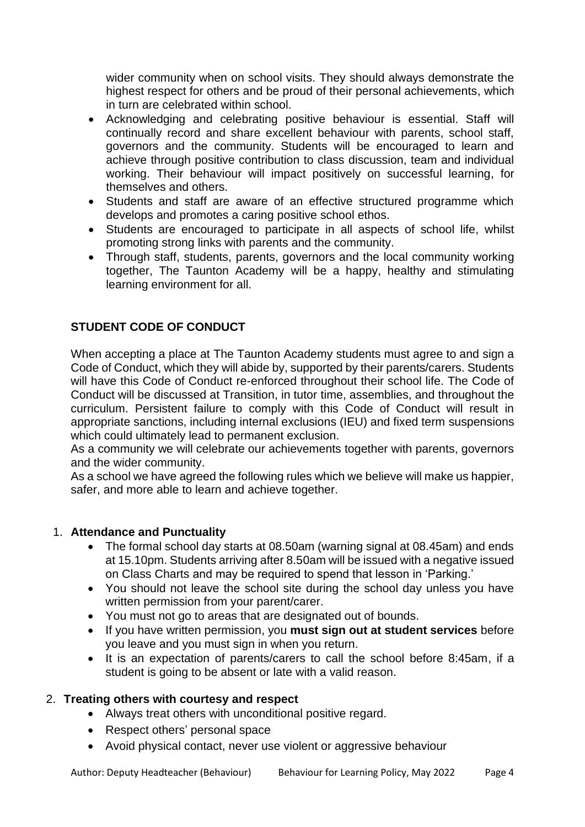wider community when on school visits. They should always demonstrate the highest respect for others and be proud of their personal achievements, which in turn are celebrated within school.

- Acknowledging and celebrating positive behaviour is essential. Staff will continually record and share excellent behaviour with parents, school staff, governors and the community. Students will be encouraged to learn and achieve through positive contribution to class discussion, team and individual working. Their behaviour will impact positively on successful learning, for themselves and others.
- Students and staff are aware of an effective structured programme which develops and promotes a caring positive school ethos.
- Students are encouraged to participate in all aspects of school life, whilst promoting strong links with parents and the community.
- Through staff, students, parents, governors and the local community working together, The Taunton Academy will be a happy, healthy and stimulating learning environment for all.

# **STUDENT CODE OF CONDUCT**

When accepting a place at The Taunton Academy students must agree to and sign a Code of Conduct, which they will abide by, supported by their parents/carers. Students will have this Code of Conduct re-enforced throughout their school life. The Code of Conduct will be discussed at Transition, in tutor time, assemblies, and throughout the curriculum. Persistent failure to comply with this Code of Conduct will result in appropriate sanctions, including internal exclusions (IEU) and fixed term suspensions which could ultimately lead to permanent exclusion.

As a community we will celebrate our achievements together with parents, governors and the wider community.

As a school we have agreed the following rules which we believe will make us happier, safer, and more able to learn and achieve together.

## 1. **Attendance and Punctuality**

- The formal school day starts at 08.50am (warning signal at 08.45am) and ends at 15.10pm. Students arriving after 8.50am will be issued with a negative issued on Class Charts and may be required to spend that lesson in 'Parking.'
- You should not leave the school site during the school day unless you have written permission from your parent/carer.
- You must not go to areas that are designated out of bounds.
- If you have written permission, you **must sign out at student services** before you leave and you must sign in when you return.
- It is an expectation of parents/carers to call the school before 8:45am, if a student is going to be absent or late with a valid reason.

## 2. **Treating others with courtesy and respect**

- Always treat others with unconditional positive regard.
- Respect others' personal space
- Avoid physical contact, never use violent or aggressive behaviour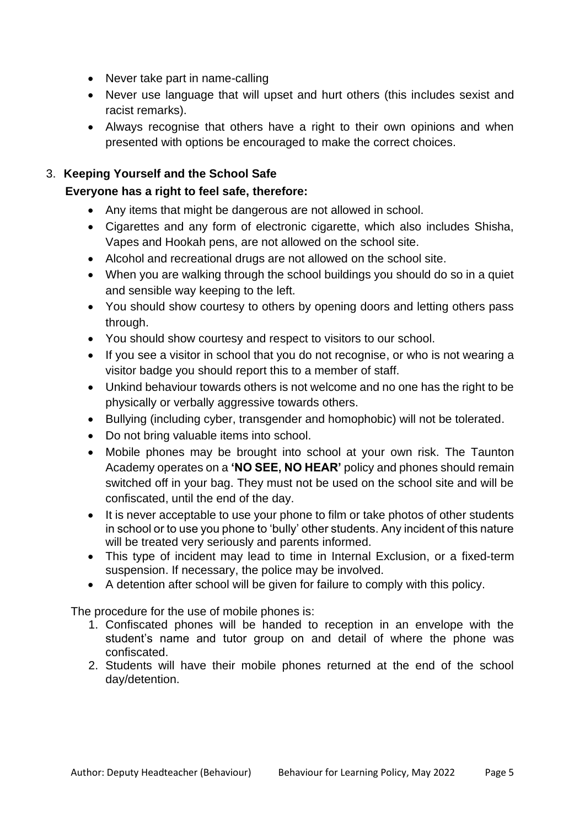- Never take part in name-calling
- Never use language that will upset and hurt others (this includes sexist and racist remarks).
- Always recognise that others have a right to their own opinions and when presented with options be encouraged to make the correct choices.

## 3. **Keeping Yourself and the School Safe**

## **Everyone has a right to feel safe, therefore:**

- Any items that might be dangerous are not allowed in school.
- Cigarettes and any form of electronic cigarette, which also includes Shisha, Vapes and Hookah pens, are not allowed on the school site.
- Alcohol and recreational drugs are not allowed on the school site.
- When you are walking through the school buildings you should do so in a quiet and sensible way keeping to the left.
- You should show courtesy to others by opening doors and letting others pass through.
- You should show courtesy and respect to visitors to our school.
- If you see a visitor in school that you do not recognise, or who is not wearing a visitor badge you should report this to a member of staff.
- Unkind behaviour towards others is not welcome and no one has the right to be physically or verbally aggressive towards others.
- Bullying (including cyber, transgender and homophobic) will not be tolerated.
- Do not bring valuable items into school.
- Mobile phones may be brought into school at your own risk. The Taunton Academy operates on a **'NO SEE, NO HEAR'** policy and phones should remain switched off in your bag. They must not be used on the school site and will be confiscated, until the end of the day.
- It is never acceptable to use your phone to film or take photos of other students in school or to use you phone to 'bully' other students. Any incident of this nature will be treated very seriously and parents informed.
- This type of incident may lead to time in Internal Exclusion, or a fixed-term suspension. If necessary, the police may be involved.
- A detention after school will be given for failure to comply with this policy.

The procedure for the use of mobile phones is:

- 1. Confiscated phones will be handed to reception in an envelope with the student's name and tutor group on and detail of where the phone was confiscated.
- 2. Students will have their mobile phones returned at the end of the school day/detention.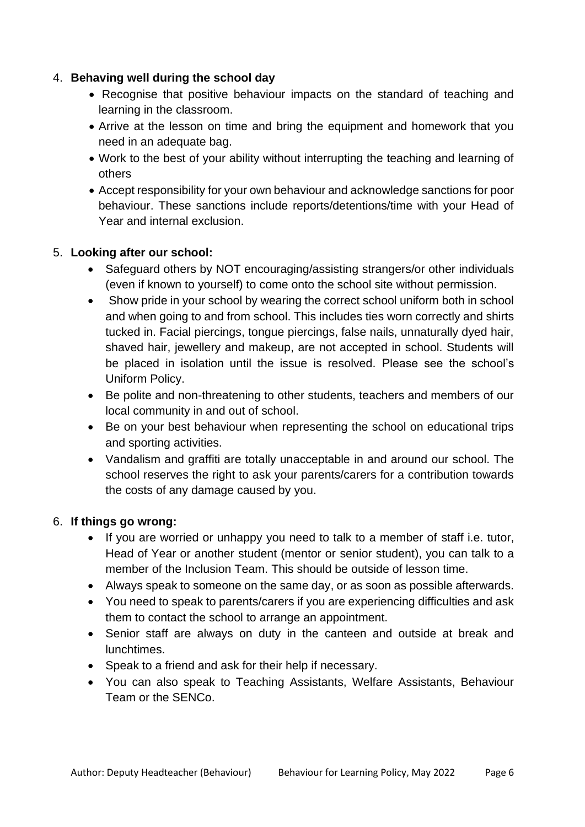### 4. **Behaving well during the school day**

- Recognise that positive behaviour impacts on the standard of teaching and learning in the classroom.
- Arrive at the lesson on time and bring the equipment and homework that you need in an adequate bag.
- Work to the best of your ability without interrupting the teaching and learning of others
- Accept responsibility for your own behaviour and acknowledge sanctions for poor behaviour. These sanctions include reports/detentions/time with your Head of Year and internal exclusion.

## 5. **Looking after our school:**

- Safeguard others by NOT encouraging/assisting strangers/or other individuals (even if known to yourself) to come onto the school site without permission.
- Show pride in your school by wearing the correct school uniform both in school and when going to and from school. This includes ties worn correctly and shirts tucked in. Facial piercings, tongue piercings, false nails, unnaturally dyed hair, shaved hair, jewellery and makeup, are not accepted in school. Students will be placed in isolation until the issue is resolved. Please see the school's Uniform Policy.
- Be polite and non-threatening to other students, teachers and members of our local community in and out of school.
- Be on your best behaviour when representing the school on educational trips and sporting activities.
- Vandalism and graffiti are totally unacceptable in and around our school. The school reserves the right to ask your parents/carers for a contribution towards the costs of any damage caused by you.

### 6. **If things go wrong:**

- If you are worried or unhappy you need to talk to a member of staff i.e. tutor, Head of Year or another student (mentor or senior student), you can talk to a member of the Inclusion Team. This should be outside of lesson time.
- Always speak to someone on the same day, or as soon as possible afterwards.
- You need to speak to parents/carers if you are experiencing difficulties and ask them to contact the school to arrange an appointment.
- Senior staff are always on duty in the canteen and outside at break and lunchtimes.
- Speak to a friend and ask for their help if necessary.
- You can also speak to Teaching Assistants, Welfare Assistants, Behaviour Team or the SENCo.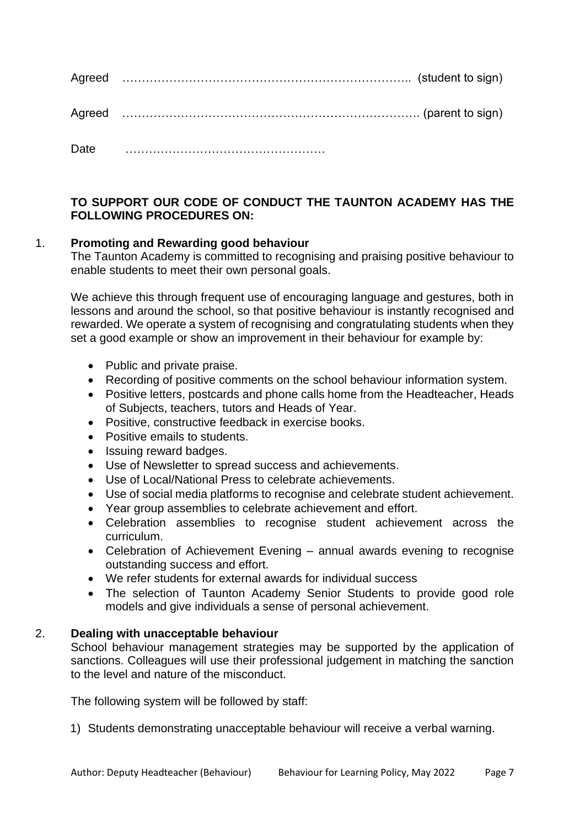| <b>Date</b> |  |
|-------------|--|

**TO SUPPORT OUR CODE OF CONDUCT THE TAUNTON ACADEMY HAS THE FOLLOWING PROCEDURES ON:** 

### 1. **Promoting and Rewarding good behaviour**

The Taunton Academy is committed to recognising and praising positive behaviour to enable students to meet their own personal goals.

We achieve this through frequent use of encouraging language and gestures, both in lessons and around the school, so that positive behaviour is instantly recognised and rewarded. We operate a system of recognising and congratulating students when they set a good example or show an improvement in their behaviour for example by:

- Public and private praise.
- Recording of positive comments on the school behaviour information system.
- Positive letters, postcards and phone calls home from the Headteacher, Heads of Subjects, teachers, tutors and Heads of Year.
- Positive, constructive feedback in exercise books.
- Positive emails to students.
- Issuing reward badges.
- Use of Newsletter to spread success and achievements.
- Use of Local/National Press to celebrate achievements.
- Use of social media platforms to recognise and celebrate student achievement.
- Year group assemblies to celebrate achievement and effort.
- Celebration assemblies to recognise student achievement across the curriculum.
- Celebration of Achievement Evening annual awards evening to recognise outstanding success and effort.
- We refer students for external awards for individual success
- The selection of Taunton Academy Senior Students to provide good role models and give individuals a sense of personal achievement.

#### 2. **Dealing with unacceptable behaviour**

School behaviour management strategies may be supported by the application of sanctions. Colleagues will use their professional judgement in matching the sanction to the level and nature of the misconduct.

The following system will be followed by staff:

1) Students demonstrating unacceptable behaviour will receive a verbal warning.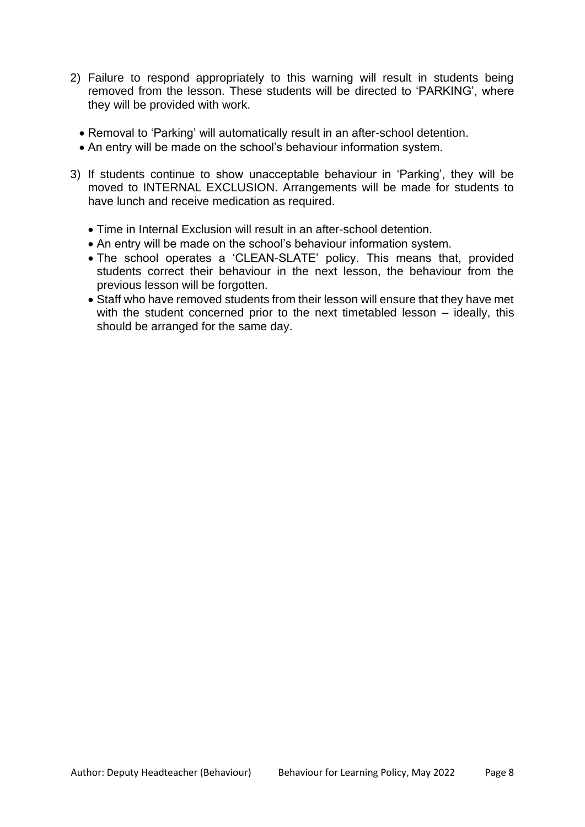- 2) Failure to respond appropriately to this warning will result in students being removed from the lesson. These students will be directed to 'PARKING', where they will be provided with work.
	- Removal to 'Parking' will automatically result in an after-school detention.
	- An entry will be made on the school's behaviour information system.
- 3) If students continue to show unacceptable behaviour in 'Parking', they will be moved to INTERNAL EXCLUSION. Arrangements will be made for students to have lunch and receive medication as required.
	- Time in Internal Exclusion will result in an after-school detention.
	- An entry will be made on the school's behaviour information system.
	- The school operates a 'CLEAN-SLATE' policy. This means that, provided students correct their behaviour in the next lesson, the behaviour from the previous lesson will be forgotten.
	- Staff who have removed students from their lesson will ensure that they have met with the student concerned prior to the next timetabled lesson – ideally, this should be arranged for the same day.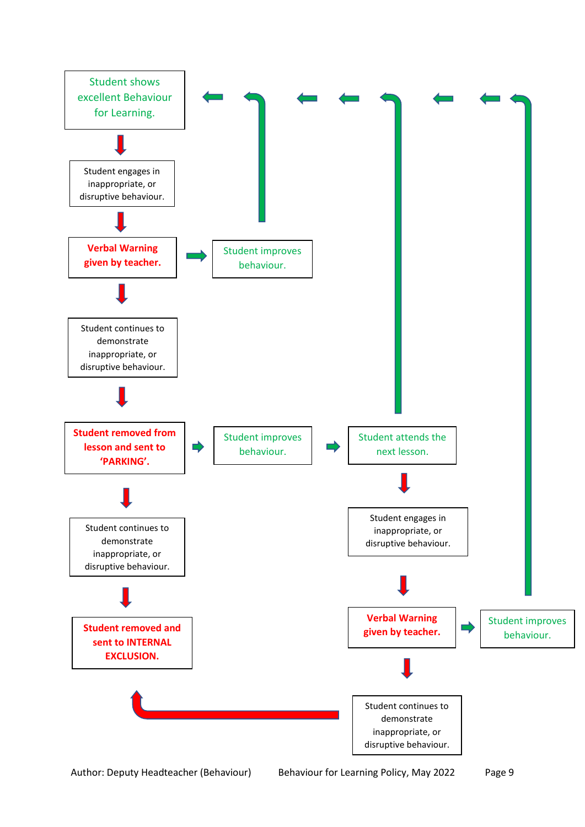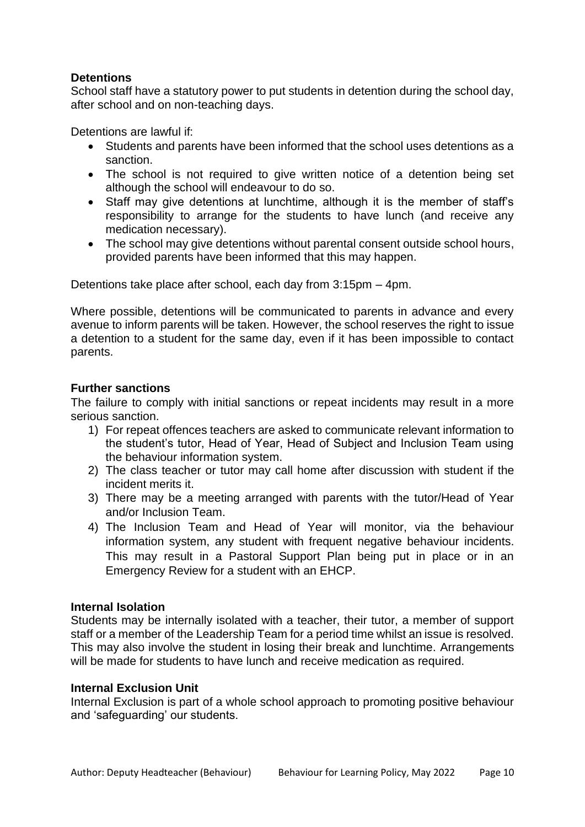### **Detentions**

School staff have a statutory power to put students in detention during the school day, after school and on non-teaching days.

Detentions are lawful if:

- Students and parents have been informed that the school uses detentions as a sanction.
- The school is not required to give written notice of a detention being set although the school will endeavour to do so.
- Staff may give detentions at lunchtime, although it is the member of staff's responsibility to arrange for the students to have lunch (and receive any medication necessary).
- The school may give detentions without parental consent outside school hours, provided parents have been informed that this may happen.

Detentions take place after school, each day from 3:15pm – 4pm.

Where possible, detentions will be communicated to parents in advance and every avenue to inform parents will be taken. However, the school reserves the right to issue a detention to a student for the same day, even if it has been impossible to contact parents.

### **Further sanctions**

The failure to comply with initial sanctions or repeat incidents may result in a more serious sanction.

- 1) For repeat offences teachers are asked to communicate relevant information to the student's tutor, Head of Year, Head of Subject and Inclusion Team using the behaviour information system.
- 2) The class teacher or tutor may call home after discussion with student if the incident merits it.
- 3) There may be a meeting arranged with parents with the tutor/Head of Year and/or Inclusion Team.
- 4) The Inclusion Team and Head of Year will monitor, via the behaviour information system, any student with frequent negative behaviour incidents. This may result in a Pastoral Support Plan being put in place or in an Emergency Review for a student with an EHCP.

### **Internal Isolation**

Students may be internally isolated with a teacher, their tutor, a member of support staff or a member of the Leadership Team for a period time whilst an issue is resolved. This may also involve the student in losing their break and lunchtime. Arrangements will be made for students to have lunch and receive medication as required.

#### **Internal Exclusion Unit**

Internal Exclusion is part of a whole school approach to promoting positive behaviour and 'safeguarding' our students.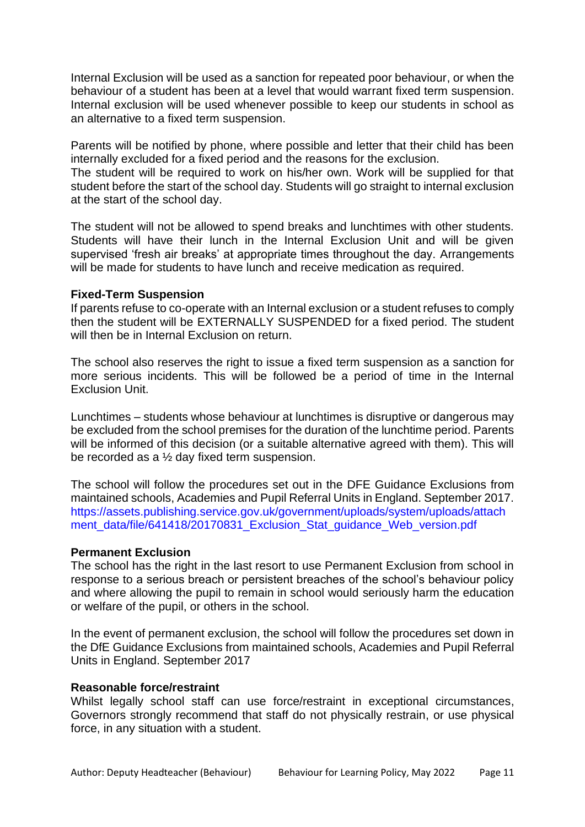Internal Exclusion will be used as a sanction for repeated poor behaviour, or when the behaviour of a student has been at a level that would warrant fixed term suspension. Internal exclusion will be used whenever possible to keep our students in school as an alternative to a fixed term suspension.

Parents will be notified by phone, where possible and letter that their child has been internally excluded for a fixed period and the reasons for the exclusion.

The student will be required to work on his/her own. Work will be supplied for that student before the start of the school day. Students will go straight to internal exclusion at the start of the school day.

The student will not be allowed to spend breaks and lunchtimes with other students. Students will have their lunch in the Internal Exclusion Unit and will be given supervised 'fresh air breaks' at appropriate times throughout the day. Arrangements will be made for students to have lunch and receive medication as required.

#### **Fixed-Term Suspension**

If parents refuse to co-operate with an Internal exclusion or a student refuses to comply then the student will be EXTERNALLY SUSPENDED for a fixed period. The student will then be in Internal Exclusion on return.

The school also reserves the right to issue a fixed term suspension as a sanction for more serious incidents. This will be followed be a period of time in the Internal Exclusion Unit.

Lunchtimes – students whose behaviour at lunchtimes is disruptive or dangerous may be excluded from the school premises for the duration of the lunchtime period. Parents will be informed of this decision (or a suitable alternative agreed with them). This will be recorded as a ½ day fixed term suspension.

The school will follow the procedures set out in the DFE Guidance Exclusions from maintained schools, Academies and Pupil Referral Units in England. September 2017. https://assets.publishing.service.gov.uk/government/uploads/system/uploads/attach ment\_data/file/641418/20170831\_Exclusion\_Stat\_guidance\_Web\_version.pdf

#### **Permanent Exclusion**

The school has the right in the last resort to use Permanent Exclusion from school in response to a serious breach or persistent breaches of the school's behaviour policy and where allowing the pupil to remain in school would seriously harm the education or welfare of the pupil, or others in the school.

In the event of permanent exclusion, the school will follow the procedures set down in the DfE Guidance Exclusions from maintained schools, Academies and Pupil Referral Units in England. September 2017

#### **Reasonable force/restraint**

Whilst legally school staff can use force/restraint in exceptional circumstances, Governors strongly recommend that staff do not physically restrain, or use physical force, in any situation with a student.